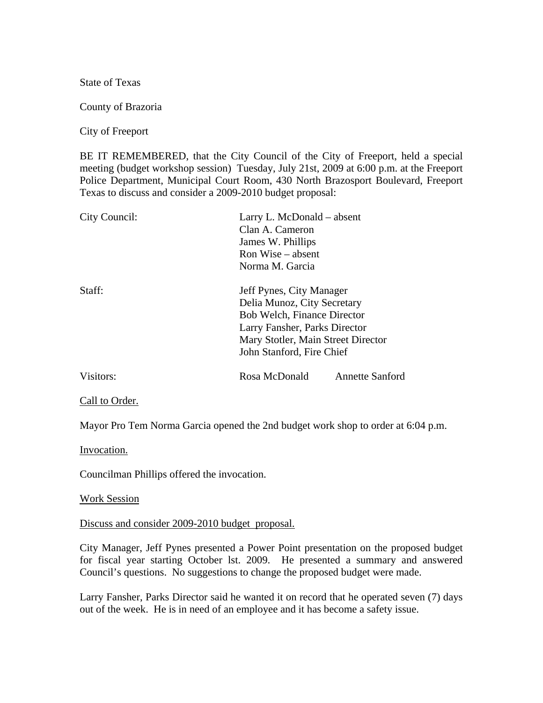State of Texas

County of Brazoria

City of Freeport

BE IT REMEMBERED, that the City Council of the City of Freeport, held a special meeting (budget workshop session) Tuesday, July 21st, 2009 at 6:00 p.m. at the Freeport Police Department, Municipal Court Room, 430 North Brazosport Boulevard, Freeport Texas to discuss and consider a 2009-2010 budget proposal:

| City Council: | Larry L. McDonald – absent         |                        |
|---------------|------------------------------------|------------------------|
|               | Clan A. Cameron                    |                        |
|               | James W. Phillips                  |                        |
|               | Ron Wise – absent                  |                        |
|               | Norma M. Garcia                    |                        |
| Staff:        | Jeff Pynes, City Manager           |                        |
|               | Delia Munoz, City Secretary        |                        |
|               | <b>Bob Welch, Finance Director</b> |                        |
|               | Larry Fansher, Parks Director      |                        |
|               | Mary Stotler, Main Street Director |                        |
|               | John Stanford, Fire Chief          |                        |
| Visitors:     | Rosa McDonald                      | <b>Annette Sanford</b> |
|               |                                    |                        |

Call to Order.

Mayor Pro Tem Norma Garcia opened the 2nd budget work shop to order at 6:04 p.m.

Invocation.

Councilman Phillips offered the invocation.

Work Session

Discuss and consider 2009-2010 budget proposal.

City Manager, Jeff Pynes presented a Power Point presentation on the proposed budget for fiscal year starting October lst. 2009. He presented a summary and answered Council's questions. No suggestions to change the proposed budget were made.

Larry Fansher, Parks Director said he wanted it on record that he operated seven (7) days out of the week. He is in need of an employee and it has become a safety issue.